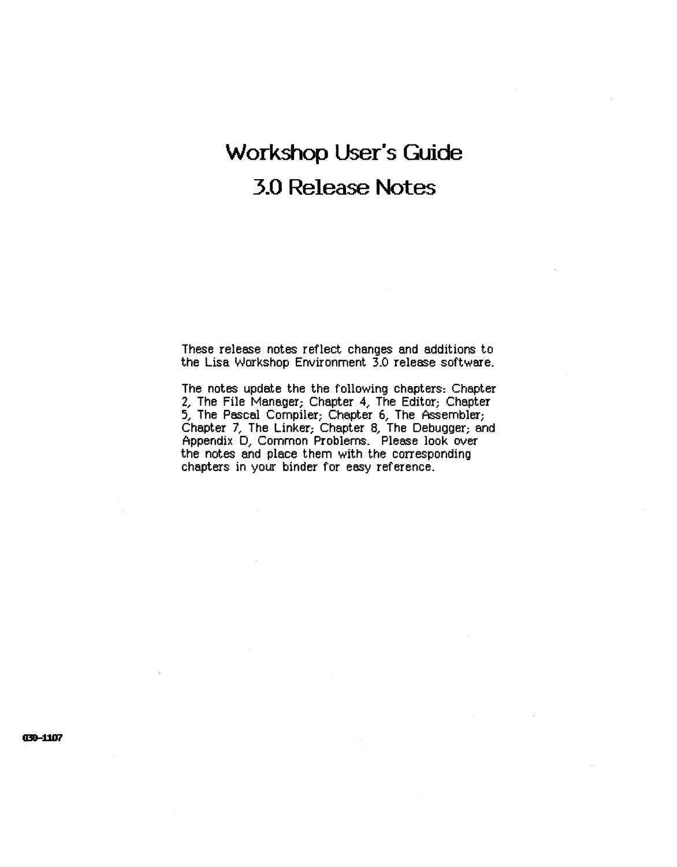## **Workshop User's Guide 3.0 Release Notes**

These release notes reflect changes and additions to the Lisa Workshop Environment 3.0 release software.

The notes update the the following chapters: Chapter 2, The File Manager; Chapter 4, The Editor; Chapter 5, The Pascal Compiler; Chapter 6, The Assembler; Chapter 7, The Linker; Chapter 8, The Debugger; and Appendix D, Common Problems. Please look over the notes and place them with the corresponding chapters in your binder for easy reference.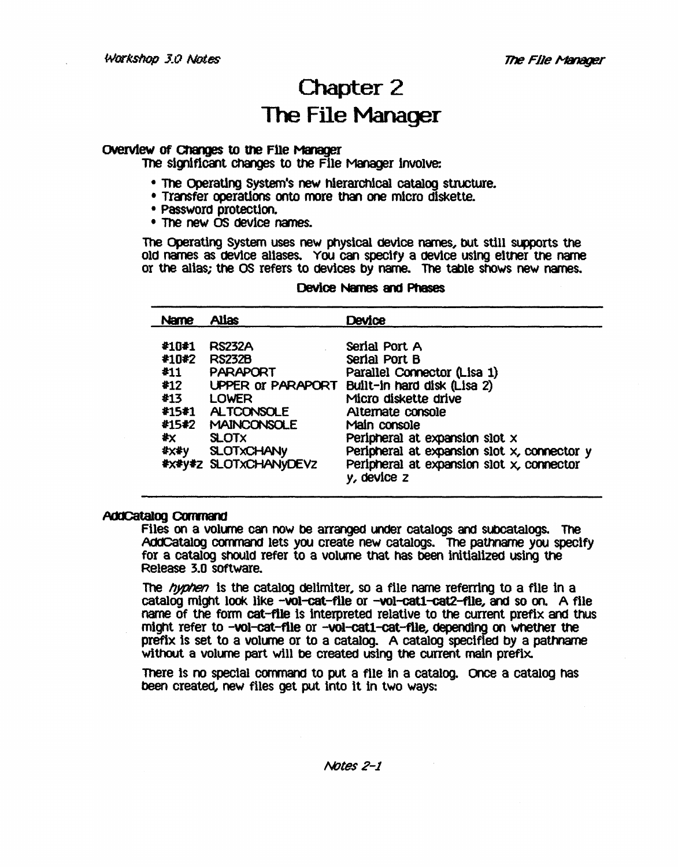### Chapter 2 The File Manager

#### Overview of Changes to the File Manager

The significant Changes to the Flle Manager Involve:

- The Operating System's new hierarchical catalog structure.
- Transfer operations onto more than one micro diskette.<br>• Password protection.
- 
- The new OS device names.

The Operating System uses new physical device names, bUt still supports the Old names as device aliases. YOU can specify a device using eltner the name or the alias; the OS refers to devices by name. The table shows new names.

#### Device Names and Phases

| Name                                                | <b>Alias</b>                                                                                                                                                      | Device                                                                                                                                                                                                                                                                                                                   |
|-----------------------------------------------------|-------------------------------------------------------------------------------------------------------------------------------------------------------------------|--------------------------------------------------------------------------------------------------------------------------------------------------------------------------------------------------------------------------------------------------------------------------------------------------------------------------|
| #10#1<br>#10#2<br>#11<br>#12<br>#13<br>#x ∴<br>#x#y | <b>RS232A</b><br><b>RS232B</b><br><b>PARAPORT</b><br>LOWER<br>#15#1 ALTCONSOLE<br>#15#2 MAINCONSOLE<br><b>SLOTX</b><br><b>SLOTXCHANY</b><br>#x#y#z SLOTxCHANyDEVz | Serial Port A<br>Serial Port B<br>Parallel Connector (Lisa 1)<br>UPPER or PARAPORT Built-in hard disk (Lisa 2)<br>Micro diskette drive<br>Alternate console<br>Main console<br>Peripheral at expansion slot x<br>Peripheral at expansion slot x, connector y<br>Peripheral at expansion slot x, connector<br>y, device z |

#### **AddCatalog Command**

Files on a volume can now be arranged under catalogs and subcatalogs. The AddCatalog command lets you create new catalogs. The pathname you specify for a catalog shOUld refer to a volume that has been Inltiallzed using the Release 3.0 SOftware.

The *hyphen* is the catalog delimiter, so a file name referring to a file in a catalog might look like -vol-cat-file or -vol-cat1-cat2-file, and so on. A file name of the form cat-file is Interpreted relative to the current prefix and thUs might refer to -vol-cat-flle or -vol-catt-cat-flle, depending on Whether the prefix is set to a volume or to a catalog. A catalog specified by a pathname without a volume part will be created using the current main prefix.

There is no special command to put a file in a catalog. Once a catalog has been created, new files get put into it in two ways: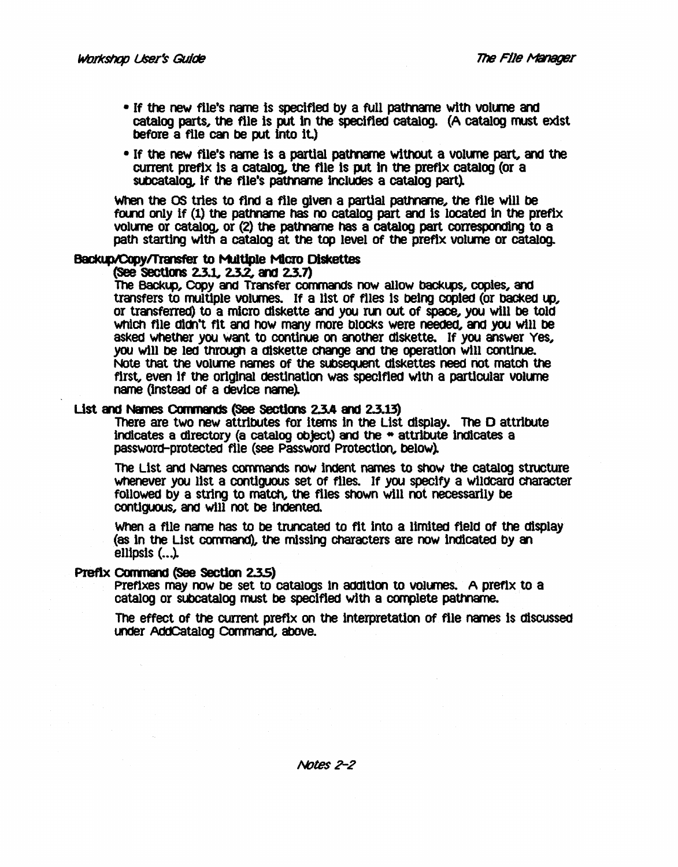- If the new file's name is specified by a full pathname with volume and catalog parts, the file is put in the specified catalog. (A catalog must exist before a file can be put Into It.)
- If the new file's name is a partial pathname without a volume part, and the current prefix Is a catalog, the file Is put In the prefix catalog (or a subcatalog, if the file's pathname includes a catalog part).

When the OS tries to find a file given a partial pathname, the file will be found only if (1) the pathname has no catalog part and is located in the prefix volume or catalog, or  $(2)$  the pathname has a catalog part corresponding to a path starting with a catalog at the top level of the prefix volume or catalog.

#### Backup/Copy/Transfer to Multiple Micro Diskettes

#### (See Sections 2.3.1, 2.3.2, and 2.3.7)

The Backup, Copy and Transfer commands now allow backups, copies, and transfers to multiple volumes. If a list of files is being copied (or backed up, or transferred) to a micro diskette and you run out of space, you will be told which file didn't fit and how many more blocks were needed, and you will be asked whether you want to continue on another diskette. If you answer Yes, you will be led through a diskette change and the operation will continue. Note that the volume names of the subsequent diskettes need not match the first, even if the original destination was specified with a particular volume. name (instead of a device name).

#### List and Names Commands (See Sections 2.3.4 and 2.3.13)

There are two new attributes for items in the List display. The D attribute indicates a directory (a catalog object) and the  $\ast$  attribute indicates a password-protected file (see Password Protection, below).

The List and Names commands now indent names to show the catalog structure whenever you list a contiguous set of files. If you specify a wildcard character folloWed by a strlng to match, the files Shown will not necessarily be contiguous, and will not be indented.

When a file name has to be truncated to fit Into a llmited field of the display (as in the List command), the missing characters are now indicated by an ellipsis  $( \ldots )$ .

#### Prefix Command (See Section 2.3.5)

Prefixes may now be set to catalogs in addition to volumes. A prefix to a catalog or subcatalog must be specified with a complete pathname.

The effect Of the current prefix on the Interpretation Of file names Is diSCUSSed under AddCatalog Command, above.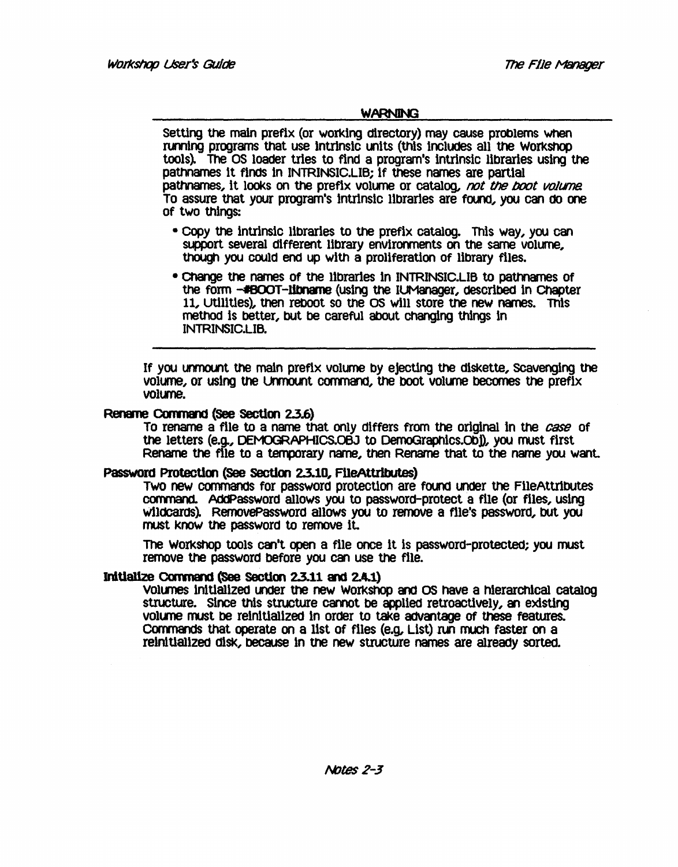#### **WARNING**

Setting the maln prefix (or working directory) may cause problems When running programs that use intrinsic units (this includes all the Workshop tools~ The OS loader tries to find a program's Intrinsic libraries using the pathnames it finds in INTRINSIC.LIB; if these names are partial pathnames, it looks on the prefix volume or catalog, not the boot volume. To assure that your program's intrinsic libraries are found, you can do one of two things:

- COpy the intrlnslc libraries to the prefix catalog. This way, you can support several different library environments on the same volume, though you could end up with a proliferation of library files.
- Change the names of the libraries In INTRINSIC.LIB to pathnames Of the form -#BOOT-libname (using the IUManager, described in Chapter 11, Utilities), then reboot so the OS will store the new names. This method is better, but be careful about changing things in INTRINSIC.LIB.

If you unmount the main prefix volume by ejecting the diskette, Scavenging the volume, or using the Unmount command, the boot volume becomes the prefix volume.

#### Rename Command (See Section 2.3.6)

To rename a file to a name that only differs from the original in the *case* of the letters (e.g., OEMOGRAPHIcs.OBJ to DemoGraphlcs.Obj), you must first Rename the file to a temporary name, then Rename that to the name you want.

#### Password Protection (See Section 2.3.10, FileAttributes)

Two new commands for password protection are found under the FileAttributes command. AddPassword allows you to password-protect a file (or files, using wildcards). RemovePassword allows you to remove a file's password, but you roust know the password to remove it.

The WOrkShop tools Q8'l't open a file once It Is password-protected; you must remove the password before you can use the file.

#### Initialize Command (See Section 2.3.11 and 2.4.1)

Volumes initialized under the new Workshop and OS have a hierarchical catalog structure. Since this structure cannot be applled retroactlvely, an existing volume must be reinitialized in order to take advantage of these features. Commands that operate on a list of files (e.g, List) run much faster on a reinitialized disk, because in the new structure names are already sorted.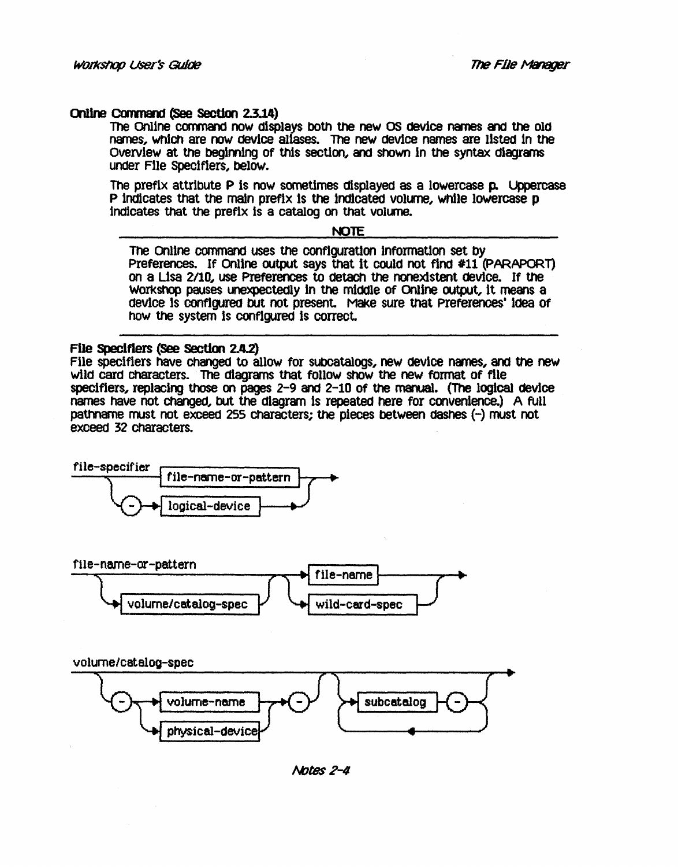#### Online Command (See Section 2.3.14)

The Online command now displays both the new OS device names and the old names, which are now device allases. The new device names are listed in the Overview at the begimlng of this section, and Shown In the syntax diagrams under File Specifiers, below.

The prefix attribute P Is now sometimes displayed as a lowercase p. Uppercase P indicates that the main prefix is the indicated volume, while lowercase p indicates that the prefix is a catalog on that volume.

#### NOTE

The Online command uses the configuration information set by Preferences. If Online output says that it could not find #11 (PARAPORT) on a Usa *2/10,* use Preferences to detach the nonexistent device. If the workshop pauses unexpectedly in the middle of Online output, it means a device Is configured bUt not present. Make sure that Preferences' Idea Of how the system Is configured Is correct.

#### File Speclflers (see section 2.4.2)

File specifiers have Changed to allow for SUbcatalogs, new device names, and the new wild card characters. The diagrams that follow show the new format of file specifiers, replacing those on pages 2-9 and 2-10 of the manual. (The logical device names have not Changed, bUt the diagram Is repeated here for convenience.) A full pathname must not exceed 255 Characters; the pieces between dashes (-) must not exceed 32 Characters.





volume/catalog-spec



Notes 2-4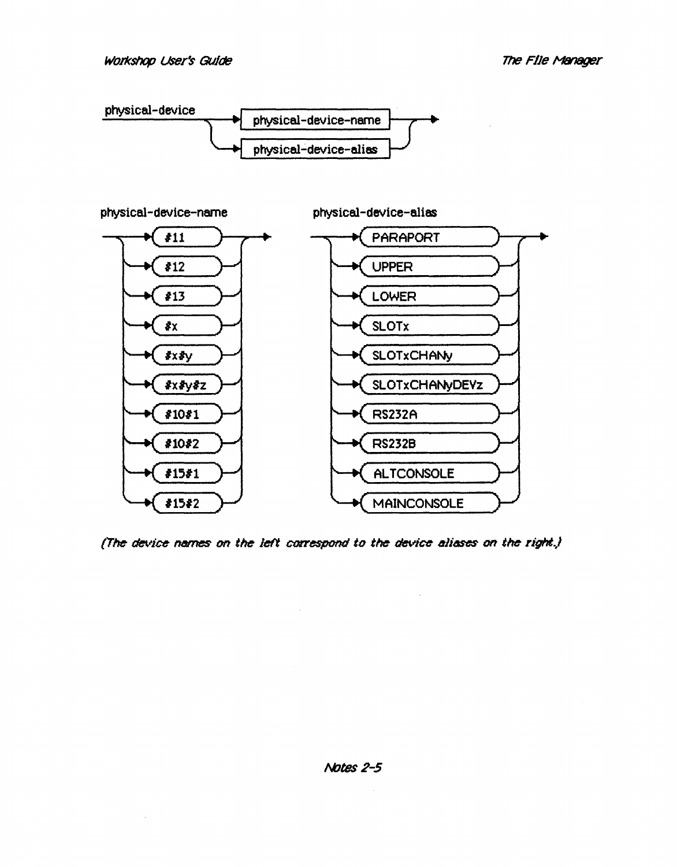

(The device names on the left correspond to the device allases on the right.)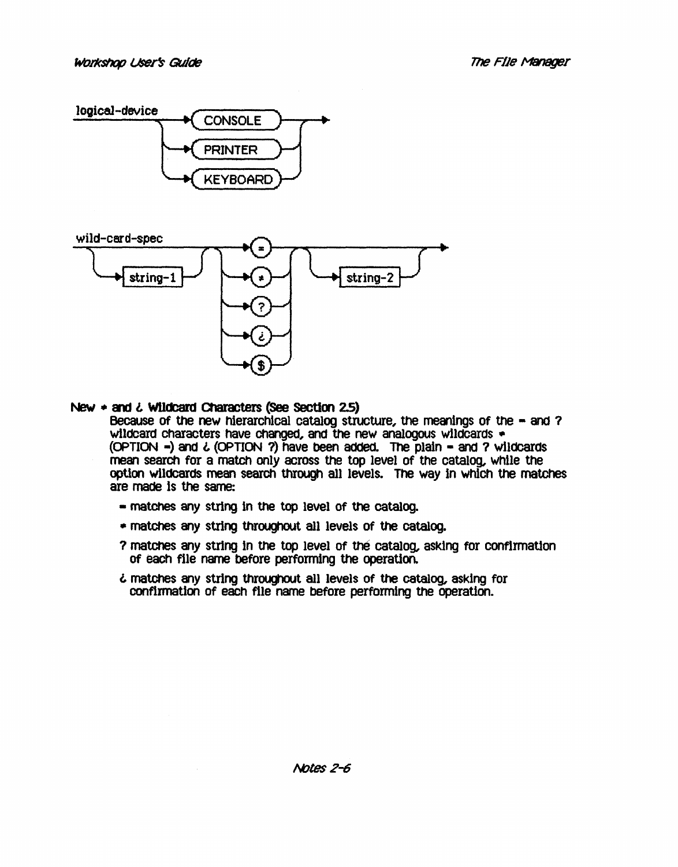



#### New  $\ast$  and  $\ddot{\text{c}}$  Wildcard Characters (See Section 2.5)

Because of the new hierarchical catalog structure, the meanings of the - and ? wildcard characters have changed, and the new analogous wildcards  $\bullet$ (OPTION -) and *l* (OPTION 1) have been added. The plain - and 1 wildCards mean search for a match only across the top level of the catalog, whlle the option wildcards mean search through all levels. The way in which the matches are made Is the same:

- matches any string in the top level of the catalog.
- matches any string throughOUt all levels of the catalog.
- ? matches any string in the top level of the catalog, asking for confirmation Of each file name before performing the operation.
- l matches any string throughOut all levels of the catalog, asking for confirmation of each file name before performing the operation.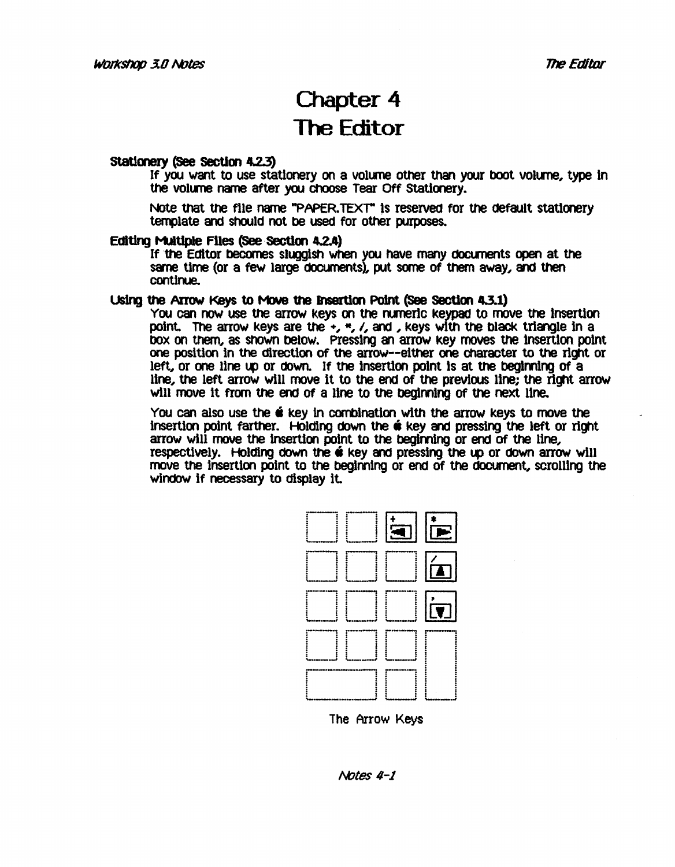### Chapter 4 The Editor

#### Stationery (See Section 4.2.3)

If you want to use stationery on a volume other than your boot volume, type in the volume name after you choose Tear Off Stationery.

Note that the file name "PAPER.TEXT" is reserved for the default stationery template and should not be used for other purposes.

#### Editing Multiple Files (See Section 4.2.4)

If the Editor becomes sluggish when you have many documents open at the same time (or a few large documents), put some of them away, and then continue.

#### Using the Arrow Keys to Move the Insertion Point (See Section 4.3.1)

You can now use the arrow keys on the runerlc keypad to move the Insertion point. The arrow keys are the  $+$ ,  $*$ ,  $/$ , and , keys with the black triangle in a bOx on them, as snown below. Pressing an arrow key moves the Insertion point one position in the direction of the arrow--either one character to the right or left, or one line up or down. If the insertion point is at the beginning of a line, the left arrow will move it to the end of the previous line; the right arrow will move It from the end of a line to the beglming Of the next line.

You can also use the  $\acute{\mathbf{e}}$  key in combination with the arrow keys to move the insertion point farther. Holding down the  $\acute{\text{o}}$  key and pressing the left or right arrow will move the insertion point to the beginning or end of the line, respectively. Holding down the  $\acute{\textbf{w}}$  key and pressing the up or down arrow will move the insertion point to the beginning or end of the document, scrolling the windoW If necessary to display it.



The Arrow Keys

/Votes *4-1*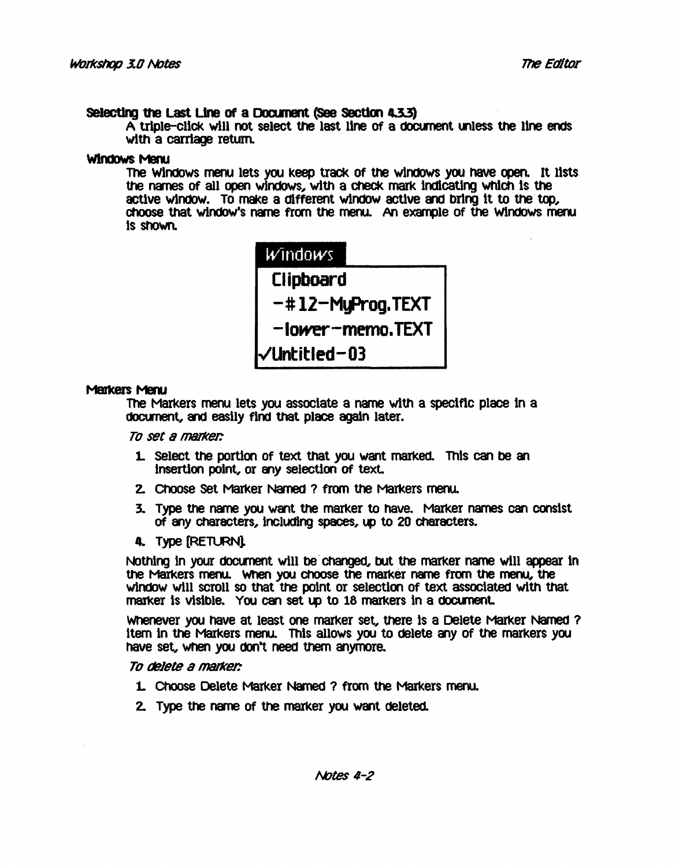#### Selecting the Last Line of a Document (See Section 4.3.3)

 $A$  triple-click will not select the last line of a document unless the line ends with a carriage retum.

#### Windows Menu

The WindOws menu lets you keep track of the windows you nave open. It l1sts the names of all open windows, with a check mark indicating which is the active window. To make a different window active and bring it to the top, choose that window's name from the menu. An example of the Windows menu. Is ShOwn.

| Windows          |  |  |  |  |  |
|------------------|--|--|--|--|--|
| Clipboard        |  |  |  |  |  |
| -#12-MyProg.TEXT |  |  |  |  |  |
| -lower-memo.TEXT |  |  |  |  |  |
| √Untitled-03     |  |  |  |  |  |

#### Markers Menu

The Markers menu lets you associate a name with a speclflc place tn a document, and easily find that place again later.

*To set* 8 *1118J1<er.* 

- 1. Select the portion of text that you want marked. This can be an insertion point, or any selection of text.
- 2. Choose Set Marker Named ? from the Markers menu.
- 3. Type the name you want the marker to have. Marker names can consist Of any Characters, inclUdIng spaces, up to 20 CharaCters.
- 4. Type [RETURN]

Nothing in your document will be changed, but the marker name will appear in the Markers menu. When you choose the marker name from the menu, the window will scroll so that the point or selection of text associated with that marker is visible. You can set up to 18 markers in a document.

Whenever you have at least one marker set, there Is a Delete Marker Named ? item in the Markers menu. This allows you to delete any of the markers you have set, wtlen you don't need them anymore.

#### To tBJete a *tnaJker:*

- 1. Choose Delete Marker Named ? from the Markers menu.
- 2. Type the name Of the marker you want deleted.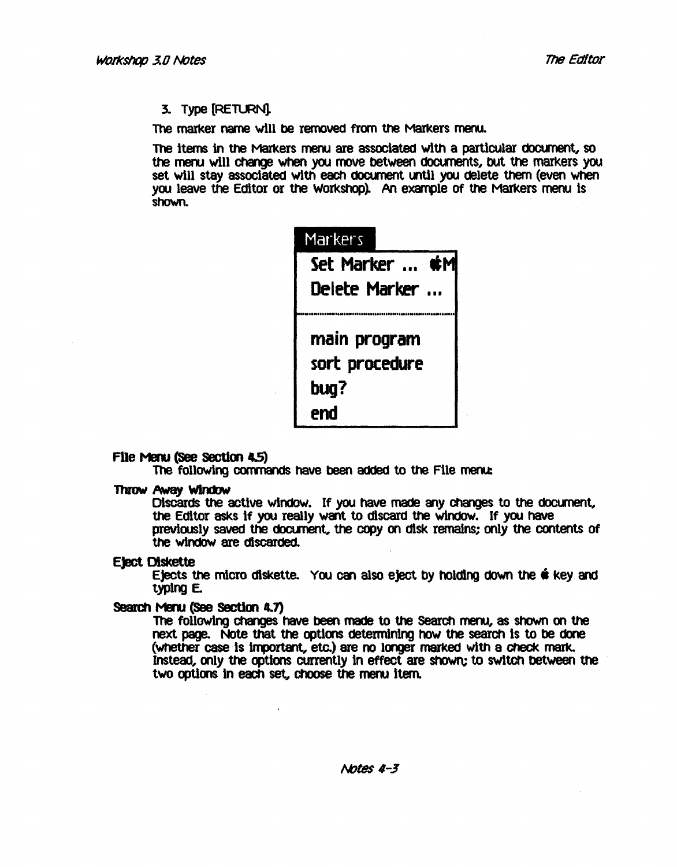#### 3. Type [RETLRN].

The marker name will be removed from the Markers menu.

The items in the Markers menu are associated with a particular document, so the meru will change when you move between documents, but the markers you set will stay associated with each document until you delete them (even when you leave the Editor or the Workshop). An example of the Markers menu is shoWn.



#### File Menu (See Section 4.5)

The following commands have been added to the File menu:

#### **Throw Away Window**

Discards the active window. If you have made any changes to the document, the Editor asks if you really want to discard the windOW. If you have previously saved the document, the copy on disk remains; only the contents of the windoW are discarded.

#### Eject Olskette

Ejects the micro diskette. You can also eject by holding down the  $\dot{\mathbf{w}}$  key and typlng E.

#### Search Menu (See Section **4.7)**

The following changes have been made to the Search menu, as shown on the next page. Note that the options determining how the search is to be done (whether case is important, etc.) are no longer marked with a check mark. Instead, only the options currently in effect are shown; to switch between the two options in each set, choose the menu item.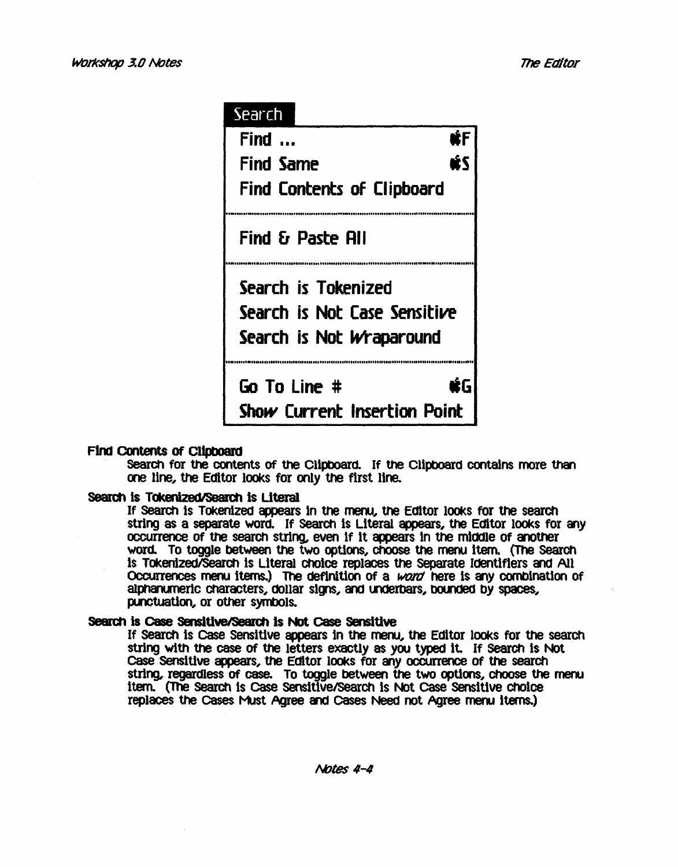# Search Find  $\ldots$  and  $\mathbf{E}$ Find Same and same in the set Find Contents of Clipboard Find £r Paste RII Search is Tokenized Search is Not Case Sensitive Search is Not Wraparound Go To Line # úБ Show Current Insertion Point

#### Find Contents of Clipboard

Search for the contents of the Clipboard. If the Clipboard contains more than one line, the Editor looks for only the first line.

#### Search is Tokenized/Search is Literal

If Search is Tokenized appears in the menu, the Editor looks for the search string as a separate word. If Search is Literal appears, the Editor looks for any occurrence of the search string, even if it appears in the middle of another word. To toggle between the two options, choose the menu item. (The Search Is TokenlzedlSearCh Is literal ChOice replaces the separate Identifiers and All Occurrences menu items.) The definition of a word here is any combination of alphanumerlc characters, dollar signs, and underbars, bounded by spaces, punctuation, or other symbols.

#### Search is Case Sensitive/Search is Not Case Sensitive

If search Is case sensitive appears In the menu, the Editor lOOks for the search string with the case of the letters exactly as you typed it. If Search is Not Case Sensitive appears, the Editor looks for any occurrence of the search string, regardless of case. To toggle between the two options, choose the menu Item. (The Search is Case Sensitive/Search is Not Case Sensitive choice replaces the Cases Must Agree and Cases Need not Agree menu items.)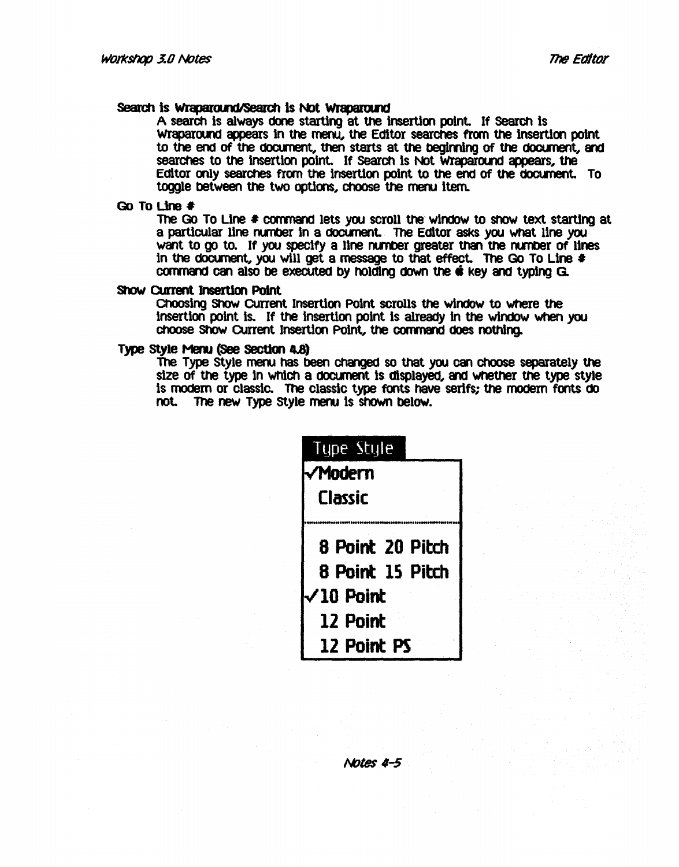#### Search is Wraparound/Search is Not Wraparound

A search is always done starting at the insertion point. If search is Wraparound appears in the menu, the Editor searches from the insertion point to the end of the document, then starts at the beginning of the document, and searches to the insertion point. If Search is Not Wraparound appears, the Editor only searches from the insertion point to the end of the doct.ment. To toggle between the two options, choose the menu item.

#### Go To Line  $\#$

The Go To Line # command lets you scroll the window to show text starting at a particular line number in a document. The Editor asks you what line you want to go to. If you specify a line number greater than the number of lines in the document, you will get a message to that effect. The Go To Line  $\ast$ command can also be executed by holding down the  $\hat{\mathbf{e}}$  key and typing G.

#### srow current Jnsertlon PoInt

Choosing Show Current Insertion Point scrolls the window to where the insertion point is. If the insertion point is already in the window when you choose Show Current Insertion Point, the command does nothing.

#### Type Style Menu (See Section 4.8)

The Type Style menu has been changed so that you can choose separately the size of the type in Which a doClment is displayed, and Whether the type style is modern or classic. The classic type fonts have serifs; the modern fonts do not. The new Type style meru is ShOWn belw.



#### I\tJtes */1-5*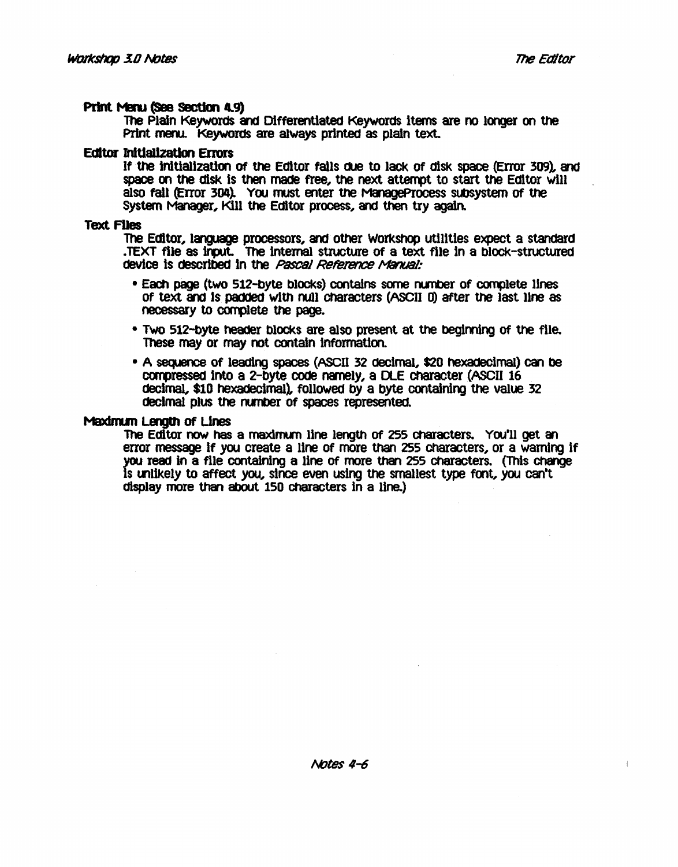#### Print Menu (See Section 4.9)

The Plain Keywords and Differentiated Keywords items are no longer on the Print meru. Keywords are always printed as platn text.

#### Ecltor InIUalIzatlon Enors

If the Inltlallzatlon of the Editor falls dUe to lack of diSk space (Error 309), and space on the diSk Is then made free, the next attempt to start the Editor will also fall (Error 304). You must enter the ManageProcess subsystem of the System Manager, Kill the Editor process, and then try again.

#### Text FUes

The Editor, language processors, and other Workshop utilities expect a standard TEXT file as input. The internal structure of a text file in a block-structured device is described in the *Pascal Reference Manual:* 

- Each page (two 512-byte blOCks) contains some runber of complete lines of text and is padded with null characters (ASCII 0) after the last line as necessary to complete the page.
- Two 512-byte header blocks are also present at the beginning of the file. These may or may not contain information.
- A sequence of leading spaces (ASCII 32 decimal, \$20 hexadecimal) can be compressed into a 2-byte code namely, a DLE character (ASCII 16 decimal, \$10 hexadecimal), fOllowed by a byte containing the value 32 decimal plus the number of spaces represented.

#### Maximum Length of Lines

The Editor now has a maxlnun line length of 255 Characters. You'll get an error message if you create a line of more than 255 Characters, or a warning if you read in a file contalning a line of more than 255 Characters. (This Change Is 00llkely to affect you, since even using the smallest type font, you can't display more than about 150 characters in a line.)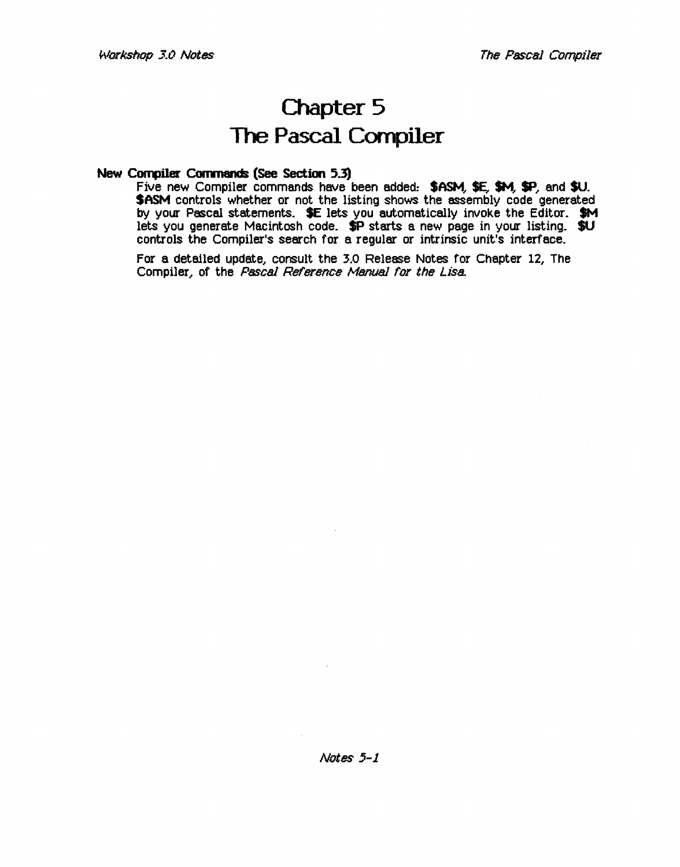### **Chapter 5 The Pascal Compiler**

#### **New Compiler Commands (See Section** 5.3)

Five new Compiler commands have been added: \$ASM, \$E, \$M, \$P, and \$U. **\$ASM** controls whether or not the listing shows the assembly code generated by your Pascal statements. SE lets you automatically invoke the Editor. \$M lets you generate Macintosh code. \$P starts a new page in your listing. \$U controls the Compiler's search for a regular or intrinsic unit's interface.

For a detailed update, consult the 3.0 Release Notes for Chapter 12, The Compiler, of the Pascal Reference Manual for the Lisa.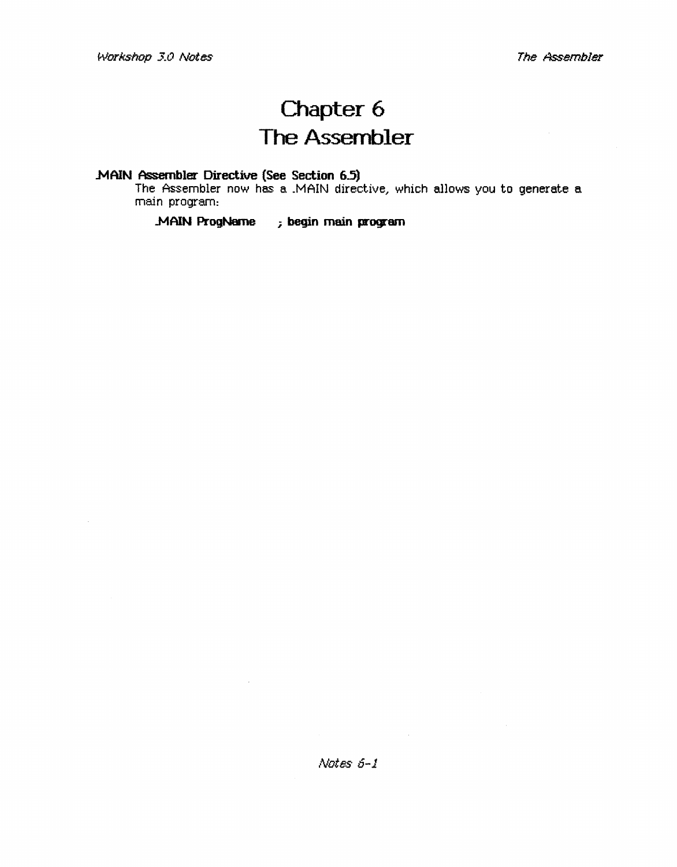### **Chapter 6 The Assembler**

### **.MAIN Assembler Directive (See Section 6.5)**

The Assembler now has a .MAIN directive, which allows you to generate a main program:

**..MAIN ProgName** *i* **begin main program**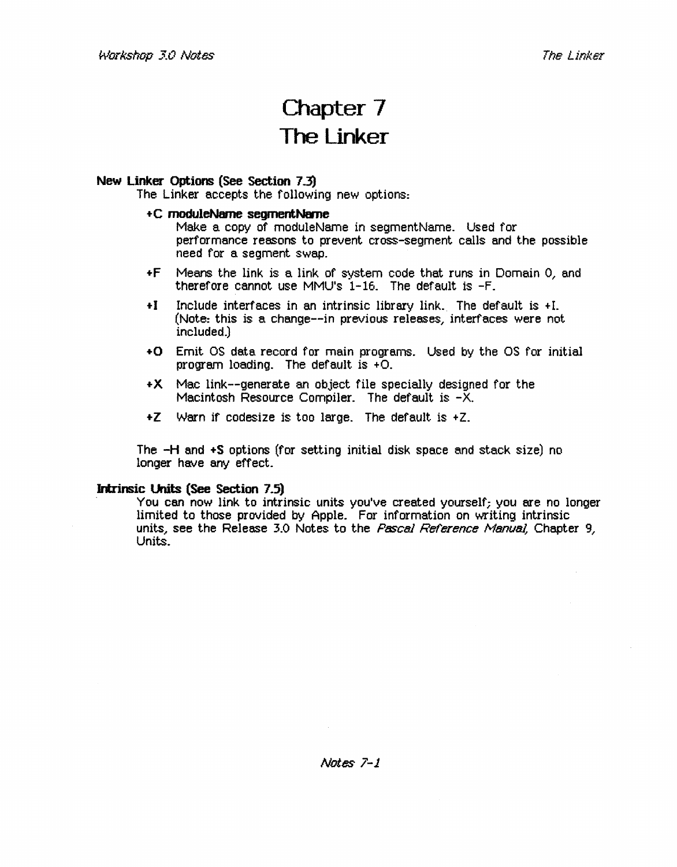### Chapter 7 The Linker

#### New Linker Options (See Section 7.3)

The Linker accepts the following new options:

#### +C moduleName segmentName

Make a copy of moduleName in segmentName. Used for performance reasons to prevent cross-segment calls and the possible need for a segment swap.

- +F Means the link is a link of system code that runs in Domain 0,. and therefore cannot use MMU's 1-16. The default is -F.
- + I Include interfaces in an intrinsic library link.. The default is + L (Note: this is a change--in previous releases, interfaces were not included.)
- +0 Emit OS data record for main programs. Used by the OS for initial program loading. The default is  $+O$ .
- +X Mac link--generate an object file specially designed for the Macintosh Resource Compiler. The default is  $-\bar{X}$ .
- $+Z$  Warn if codesize is too large. The default is  $+Z$ .

The -H and +S options (for setting initial disk space and stack size) no longer have any effect.

Intrinsic Units (See Section 7.5)<br>You can now link to intrinsic units you've created yourself; you are no longer limited to those provided by Apple. For information on writing intrinsic units, see the Release 3.0 Notes to the *Pascal Reference Manual*, Chapter 9, Units.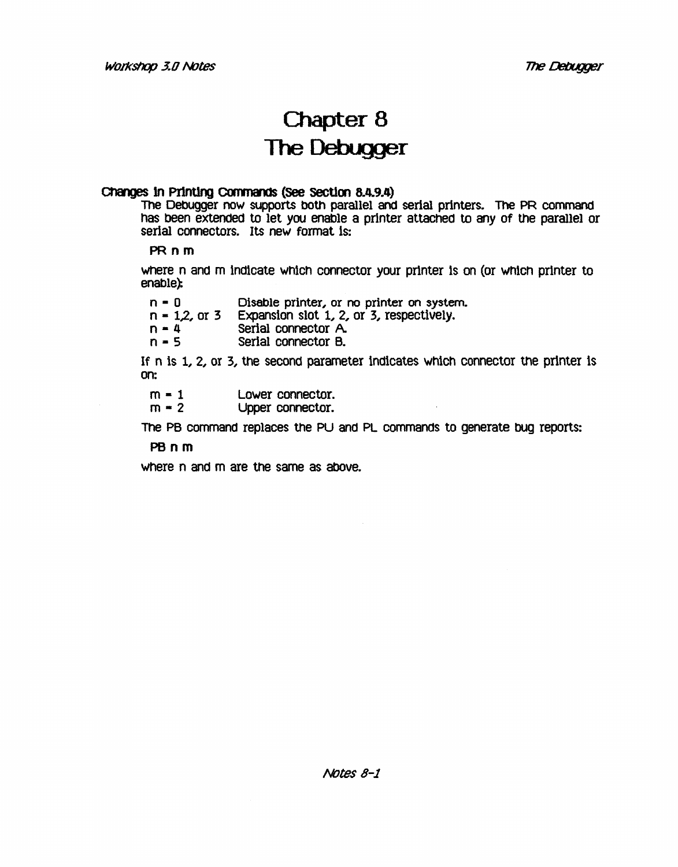### Chapter 8 The Debugger

#### Changes in Printing Commands (See Section 8.4.9.4)

The DebUgger now supports both parallel and serial printers. The PR command has been extended to let you enable a printer attached to any of the parallel or serial connectors. Its new format is:

#### PR nm

where n and m indicate which connector your printer is on (or which printer to  $enable$ 

| $n = 0$ |  |  |  | Disable printer, or no printer on system. |
|---------|--|--|--|-------------------------------------------|
|         |  |  |  |                                           |

- $n = 1,2$ , or 3 Expansion slot 1, 2, or 3, respectively.
- $n = 4$  Serial connector A.<br> $n = 5$  Serial connector B.
- Serial connector B.

If n is 1, 2, or 3, the second parameter indicates which connector the printer is on:

 $m = 1$  $m = 2$ Lower connector. Upper connector.

The PB command replaces the PU and PL commands to generate bug reports:

#### PBnm

where n and m are the same as above.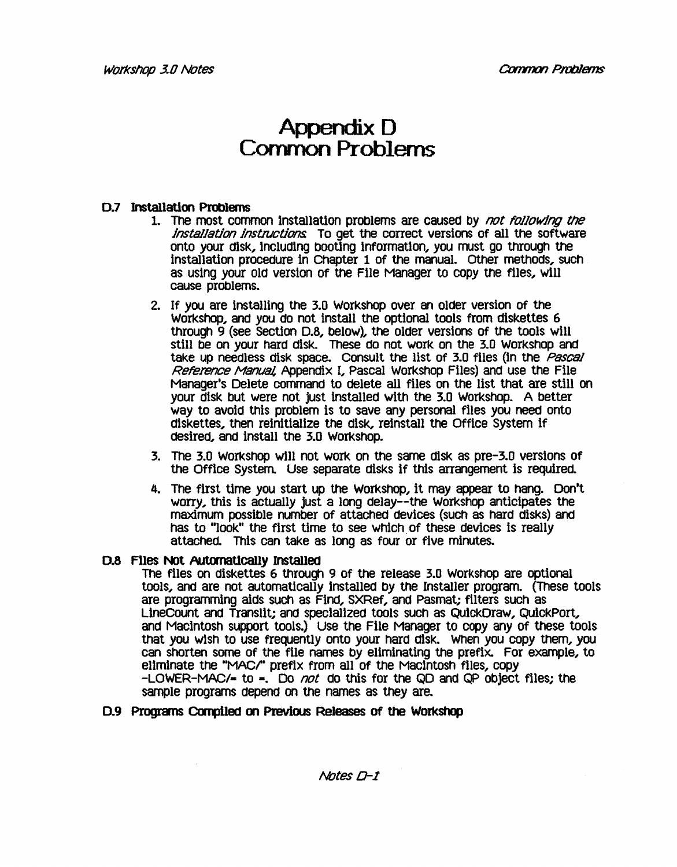### Appendix D Common Problems

#### 0.7 Installation Problems

- 1. The most common installation problems are caused by not following the installation instructions To get the correct versions of all the software onto your disk, inCluding booting information, you must go through the installation procedure in Chapter 1 of the manual. Other methods, such as using your old version of the File Manager to copy the files, will cause problems.
- 2. If you are installing the 3.0 Workshop over an older version of the Workshop, and you do not install the optional tools from diskettes 6 through 9 (see Section D.8, below), the older versions of the tools will still be on your hard disk. These do not work on the 3.0 Workshop and take up needless disk space. Consult the list of 3.0 files (in the Pascal Reference Manual, Appendix I, Pascal Workshop Files) and use the File Manager's Delete command to delete all files on the list that are still on your disk but were not just installed with the 3.0 WOrkshop. A better way to avoid this problem is to save any personal files you need onto diskettes, then reinitialize the disk, reinstall the Office System if desired, and install the 3.0 WorkShOp.
- 3. The 3.0 WOrkshop will not WOrk on the same disk as pre-3.0 versions Of the Office System. Use separate disks if this arrangement is required.
- 4. The first time you start up the Workshop, it may appear to hang. Don't worry, this is actually just a long delay--the Workshop anticipates the maximum possible number of attached devices (such as hard diskS) and has to "look" the first time to see which of these devices is really attached. This can take as long as four or five minutes.

#### D.8 Files Not Automatically Installed

The files on diskettes 6 through 9 of the release 3.0 Workshop are optional tools, and are not automatically installed by the Installer program. (These tools are programming aids such as Find, SXRef, and Pasmat; filters such as Linecount and Transllt; and special1zed tools sUCh as QuickDraw, QuiCkPort, and Macintosh support toolS.) Use the File Manager to copy any of these tools that you wish to use frequently onto your hard disk. When you copy them, you can shorten some of the file names by eliminating the prefix. For example, to eliminate the "MAC/" prefix from all of the Macintosh files, copy  $-LOWER-MAC/=$  to  $=$ . Do not do this for the QD and QP object files; the sample programs depend on the names as they are.

#### D.9 Programs Compiled on Previous Releases of the Workshop